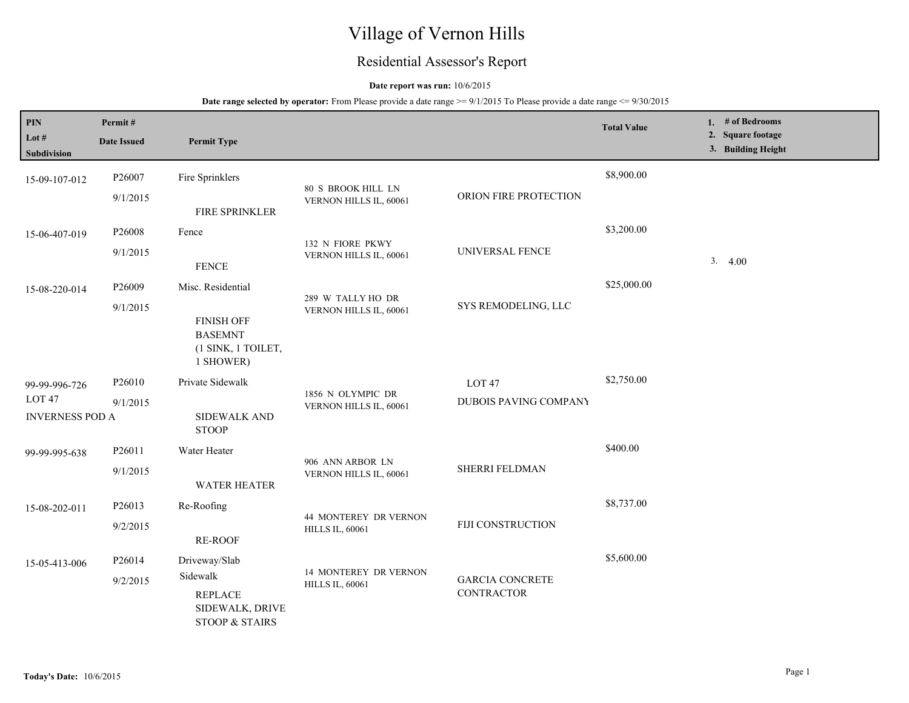# Village of Vernon Hills

## Residential Assessor's Report

### **Date report was run:** 10/6/2015

| PIN                                         | Permit#            |                                                                            |                                              |                                             | <b>Total Value</b> | 1. # of Bedrooms<br>2. Square footage |
|---------------------------------------------|--------------------|----------------------------------------------------------------------------|----------------------------------------------|---------------------------------------------|--------------------|---------------------------------------|
| Lot #<br>Subdivision                        | <b>Date Issued</b> | <b>Permit Type</b>                                                         |                                              |                                             |                    | 3. Building Height                    |
| 15-09-107-012                               | P26007             | Fire Sprinklers                                                            |                                              |                                             | \$8,900.00         |                                       |
|                                             | 9/1/2015           | FIRE SPRINKLER                                                             | 80 S BROOK HILL LN<br>VERNON HILLS IL, 60061 | ORION FIRE PROTECTION                       |                    |                                       |
| 15-06-407-019                               | P26008             | Fence                                                                      | 132 N FIORE PKWY                             |                                             | \$3,200.00         |                                       |
|                                             | 9/1/2015           | <b>FENCE</b>                                                               | VERNON HILLS IL, 60061                       | UNIVERSAL FENCE                             |                    | 3.4.00                                |
| 15-08-220-014                               | P26009             | Misc. Residential                                                          | 289 W TALLY HO DR                            |                                             | \$25,000.00        |                                       |
|                                             | 9/1/2015           | <b>FINISH OFF</b><br><b>BASEMNT</b><br>(1 SINK, 1 TOILET,<br>1 SHOWER)     | VERNON HILLS IL, 60061                       | SYS REMODELING, LLC                         |                    |                                       |
| 99-99-996-726                               | P26010             | Private Sidewalk                                                           |                                              | LOT <sub>47</sub>                           | \$2,750.00         |                                       |
| LOT <sub>47</sub><br><b>INVERNESS POD A</b> | 9/1/2015           | <b>SIDEWALK AND</b><br><b>STOOP</b>                                        | 1856 N OLYMPIC DR<br>VERNON HILLS IL, 60061  | DUBOIS PAVING COMPANY                       |                    |                                       |
| 99-99-995-638                               | P26011             | Water Heater                                                               | 906 ANN ARBOR LN                             |                                             | \$400.00           |                                       |
|                                             | 9/1/2015           | <b>WATER HEATER</b>                                                        | VERNON HILLS IL, 60061                       | SHERRI FELDMAN                              |                    |                                       |
| 15-08-202-011                               | P26013             | Re-Roofing                                                                 | 44 MONTEREY DR VERNON                        |                                             | \$8,737.00         |                                       |
|                                             | 9/2/2015           | <b>RE-ROOF</b>                                                             | <b>HILLS IL, 60061</b>                       | FIJI CONSTRUCTION                           |                    |                                       |
| 15-05-413-006                               | P26014             | Driveway/Slab                                                              | <b>14 MONTEREY DR VERNON</b>                 | <b>GARCIA CONCRETE</b><br><b>CONTRACTOR</b> | \$5,600.00         |                                       |
|                                             | 9/2/2015           | Sidewalk<br><b>REPLACE</b><br>SIDEWALK, DRIVE<br><b>STOOP &amp; STAIRS</b> | <b>HILLS IL, 60061</b>                       |                                             |                    |                                       |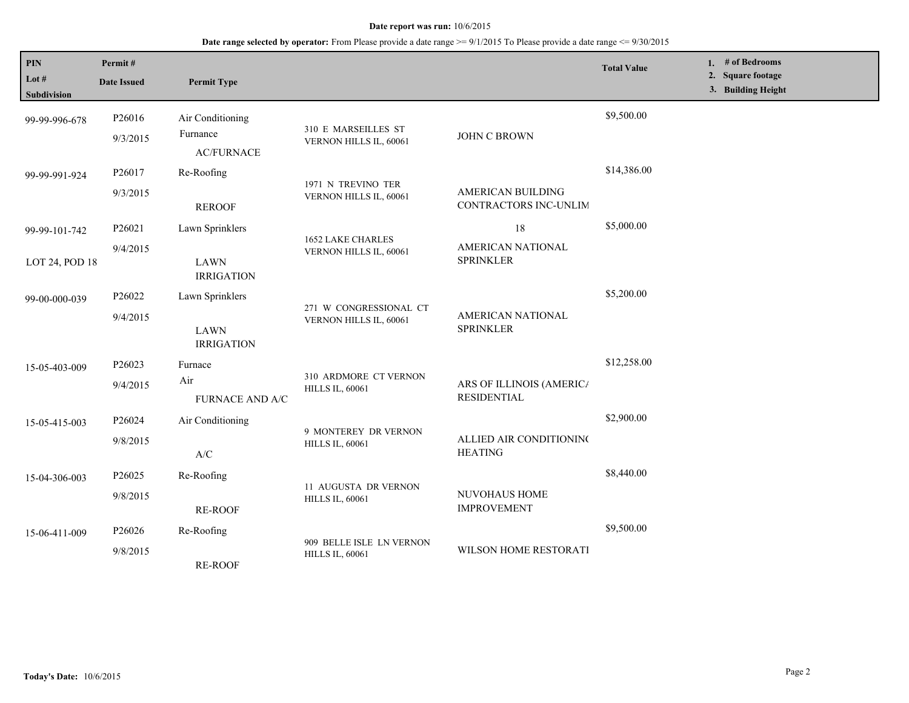| PIN<br>Lot $#$<br><b>Subdivision</b> | Permit#<br><b>Date Issued</b>  | <b>Permit Type</b>                                  |                                                       |                                                | <b>Total Value</b> | 1. # of Bedrooms<br>2. Square footage<br>3. Building Height |  |
|--------------------------------------|--------------------------------|-----------------------------------------------------|-------------------------------------------------------|------------------------------------------------|--------------------|-------------------------------------------------------------|--|
| 99-99-996-678                        | P26016<br>9/3/2015             | Air Conditioning<br>Furnance<br><b>AC/FURNACE</b>   | 310 E MARSEILLES ST<br>VERNON HILLS IL, 60061         | JOHN C BROWN                                   | \$9,500.00         |                                                             |  |
| 99-99-991-924                        | P26017<br>9/3/2015             | Re-Roofing<br><b>REROOF</b>                         | 1971 N TREVINO TER<br>VERNON HILLS IL, 60061          | AMERICAN BUILDING<br>CONTRACTORS INC-UNLIM     | \$14,386.00        |                                                             |  |
| 99-99-101-742<br>LOT 24, POD 18      | P26021<br>9/4/2015             | Lawn Sprinklers<br><b>LAWN</b><br><b>IRRIGATION</b> | 1652 LAKE CHARLES<br>VERNON HILLS IL, 60061           | 18<br>AMERICAN NATIONAL<br><b>SPRINKLER</b>    | \$5,000.00         |                                                             |  |
| 99-00-000-039                        | P26022<br>9/4/2015             | Lawn Sprinklers<br><b>LAWN</b><br><b>IRRIGATION</b> | 271 W CONGRESSIONAL CT<br>VERNON HILLS IL, 60061      | AMERICAN NATIONAL<br><b>SPRINKLER</b>          | \$5,200.00         |                                                             |  |
| 15-05-403-009                        | P26023<br>9/4/2015             | Furnace<br>Air<br><b>FURNACE AND A/C</b>            | 310 ARDMORE CT VERNON<br><b>HILLS IL, 60061</b>       | ARS OF ILLINOIS (AMERICA<br><b>RESIDENTIAL</b> | \$12,258.00        |                                                             |  |
| 15-05-415-003                        | P26024<br>9/8/2015             | Air Conditioning<br>A/C                             | 9 MONTEREY DR VERNON<br><b>HILLS IL, 60061</b>        | ALLIED AIR CONDITIONING<br><b>HEATING</b>      | \$2,900.00         |                                                             |  |
| 15-04-306-003                        | P <sub>26025</sub><br>9/8/2015 | Re-Roofing<br><b>RE-ROOF</b>                        | <b>11 AUGUSTA DR VERNON</b><br><b>HILLS IL, 60061</b> | NUVOHAUS HOME<br><b>IMPROVEMENT</b>            | \$8,440.00         |                                                             |  |
| 15-06-411-009                        | P26026<br>9/8/2015             | Re-Roofing<br><b>RE-ROOF</b>                        | 909 BELLE ISLE LN VERNON<br><b>HILLS IL, 60061</b>    | <b>WILSON HOME RESTORATI</b>                   | \$9,500.00         |                                                             |  |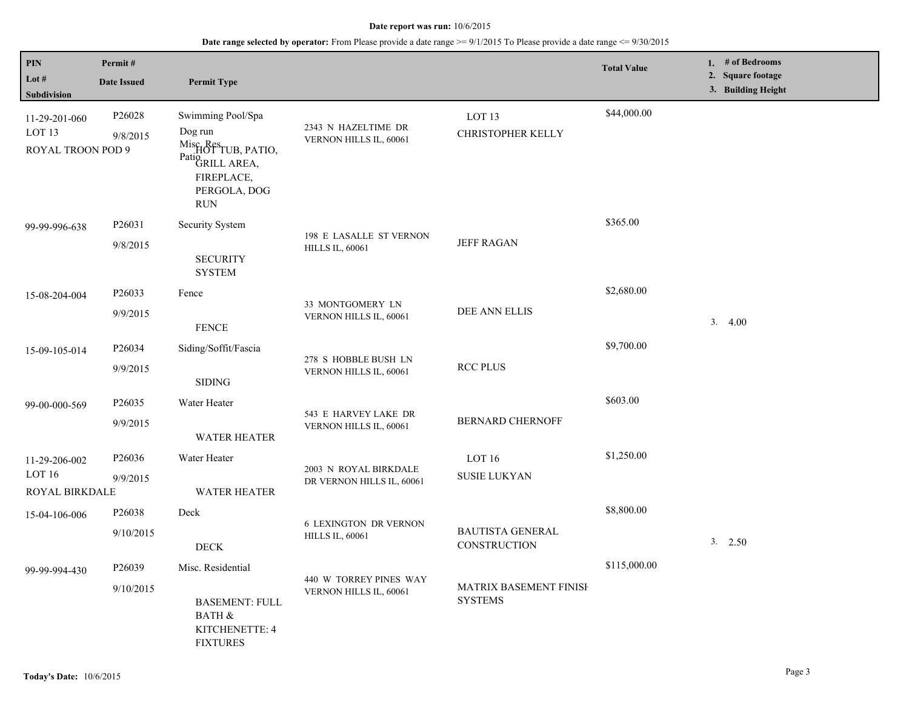| PIN<br>Lot #<br><b>Subdivision</b>                      | Permit#<br><b>Date Issued</b>  | <b>Permit Type</b>                                                                                                                          |                                                        |                                               | <b>Total Value</b> | 1. # of Bedrooms<br>2. Square footage<br>3. Building Height |
|---------------------------------------------------------|--------------------------------|---------------------------------------------------------------------------------------------------------------------------------------------|--------------------------------------------------------|-----------------------------------------------|--------------------|-------------------------------------------------------------|
| 11-29-201-060<br>LOT <sub>13</sub><br>ROYAL TROON POD 9 | P <sub>26028</sub><br>9/8/2015 | Swimming Pool/Spa<br>Dog run<br>Misc <sub>ResTUB</sub> , PATIO,<br>Patio <sub>GRILL</sub> AREA,<br>FIREPLACE,<br>PERGOLA, DOG<br><b>RUN</b> | 2343 N HAZELTIME DR<br>VERNON HILLS IL, 60061          | LOT <sub>13</sub><br><b>CHRISTOPHER KELLY</b> | \$44,000.00        |                                                             |
| 99-99-996-638                                           | P26031<br>9/8/2015             | Security System<br><b>SECURITY</b><br><b>SYSTEM</b>                                                                                         | 198 E LASALLE ST VERNON<br><b>HILLS IL, 60061</b>      | <b>JEFF RAGAN</b>                             | \$365.00           |                                                             |
| 15-08-204-004                                           | P26033<br>9/9/2015             | Fence<br><b>FENCE</b>                                                                                                                       | 33 MONTGOMERY LN<br>VERNON HILLS IL, 60061             | DEE ANN ELLIS                                 | \$2,680.00         | 3.4.00                                                      |
| 15-09-105-014                                           | P26034<br>9/9/2015             | Siding/Soffit/Fascia<br><b>SIDING</b>                                                                                                       | 278 S HOBBLE BUSH LN<br>VERNON HILLS IL, 60061         | <b>RCC PLUS</b>                               | \$9,700.00         |                                                             |
| 99-00-000-569                                           | P26035<br>9/9/2015             | Water Heater<br><b>WATER HEATER</b>                                                                                                         | 543 E HARVEY LAKE DR<br>VERNON HILLS IL, 60061         | <b>BERNARD CHERNOFF</b>                       | \$603.00           |                                                             |
| 11-29-206-002<br>LOT 16<br>ROYAL BIRKDALE               | P26036<br>9/9/2015             | Water Heater<br><b>WATER HEATER</b>                                                                                                         | 2003 N ROYAL BIRKDALE<br>DR VERNON HILLS IL, 60061     | LOT 16<br><b>SUSIE LUKYAN</b>                 | \$1,250.00         |                                                             |
| 15-04-106-006                                           | P26038<br>9/10/2015            | Deck<br><b>DECK</b>                                                                                                                         | <b>6 LEXINGTON DR VERNON</b><br><b>HILLS IL, 60061</b> | <b>BAUTISTA GENERAL</b><br>CONSTRUCTION       | \$8,800.00         | $3. \quad 2.50$                                             |
| 99-99-994-430                                           | P26039<br>9/10/2015            | Misc. Residential<br><b>BASEMENT: FULL</b><br><b>BATH &amp;</b><br>KITCHENETTE: 4<br><b>FIXTURES</b>                                        | 440 W TORREY PINES WAY<br>VERNON HILLS IL, 60061       | MATRIX BASEMENT FINISH<br><b>SYSTEMS</b>      | \$115,000.00       |                                                             |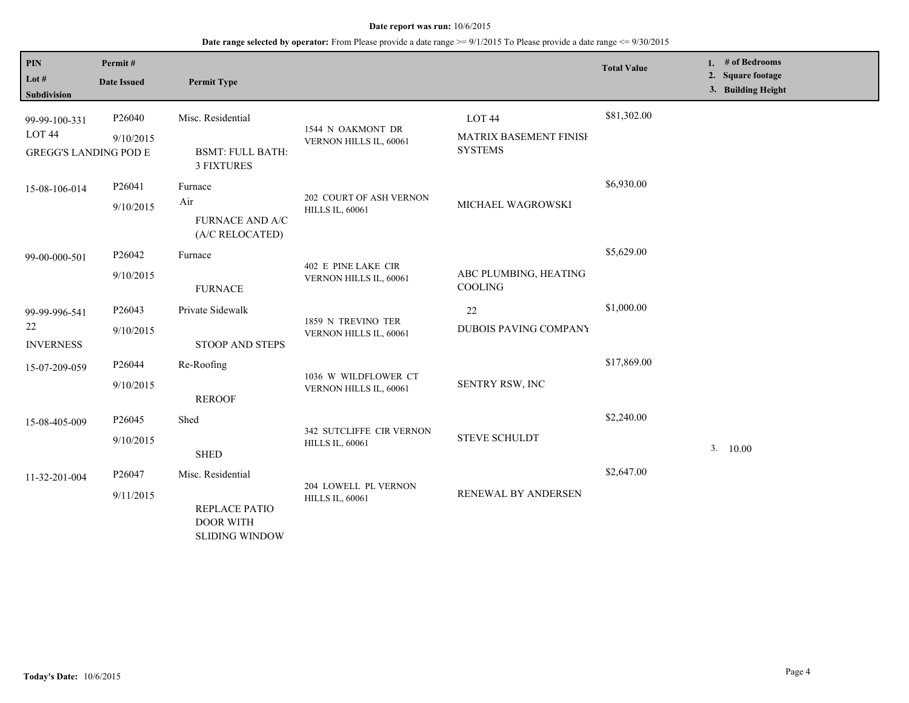| PIN<br>Lot #<br><b>Subdivision</b>                                 | Permit#<br><b>Date Issued</b>   | <b>Permit Type</b>                                                              |                                                    |                                                               | <b>Total Value</b> | # of Bedrooms<br>1.<br>2. Square footage<br>3. Building Height |
|--------------------------------------------------------------------|---------------------------------|---------------------------------------------------------------------------------|----------------------------------------------------|---------------------------------------------------------------|--------------------|----------------------------------------------------------------|
| 99-99-100-331<br>LOT <sub>44</sub><br><b>GREGG'S LANDING POD E</b> | P <sub>26040</sub><br>9/10/2015 | Misc. Residential<br><b>BSMT: FULL BATH:</b><br><b>3 FIXTURES</b>               | 1544 N OAKMONT DR<br>VERNON HILLS IL, 60061        | LOT <sub>44</sub><br>MATRIX BASEMENT FINISH<br><b>SYSTEMS</b> | \$81,302.00        |                                                                |
| 15-08-106-014                                                      | P26041<br>9/10/2015             | Furnace<br>Air<br><b>FURNACE AND A/C</b><br>(A/C RELOCATED)                     | 202 COURT OF ASH VERNON<br><b>HILLS IL, 60061</b>  | MICHAEL WAGROWSKI                                             | \$6,930.00         |                                                                |
| 99-00-000-501                                                      | P26042<br>9/10/2015             | Furnace<br><b>FURNACE</b>                                                       | 402 E PINE LAKE CIR<br>VERNON HILLS IL, 60061      | ABC PLUMBING, HEATING<br><b>COOLING</b>                       | \$5,629.00         |                                                                |
| 99-99-996-541<br>22<br><b>INVERNESS</b>                            | P26043<br>9/10/2015             | Private Sidewalk<br>STOOP AND STEPS                                             | 1859 N TREVINO TER<br>VERNON HILLS IL, 60061       | 22<br><b>DUBOIS PAVING COMPANY</b>                            | \$1,000.00         |                                                                |
| 15-07-209-059                                                      | P26044<br>9/10/2015             | Re-Roofing<br><b>REROOF</b>                                                     | 1036 W WILDFLOWER CT<br>VERNON HILLS IL, 60061     | SENTRY RSW, INC                                               | \$17,869.00        |                                                                |
| 15-08-405-009                                                      | P <sub>26045</sub><br>9/10/2015 | Shed<br><b>SHED</b>                                                             | 342 SUTCLIFFE CIR VERNON<br><b>HILLS IL, 60061</b> | <b>STEVE SCHULDT</b>                                          | \$2,240.00         | 3. 10.00                                                       |
| 11-32-201-004                                                      | P26047<br>9/11/2015             | Misc. Residential<br>REPLACE PATIO<br><b>DOOR WITH</b><br><b>SLIDING WINDOW</b> | 204 LOWELL PL VERNON<br><b>HILLS IL, 60061</b>     | RENEWAL BY ANDERSEN                                           | \$2,647.00         |                                                                |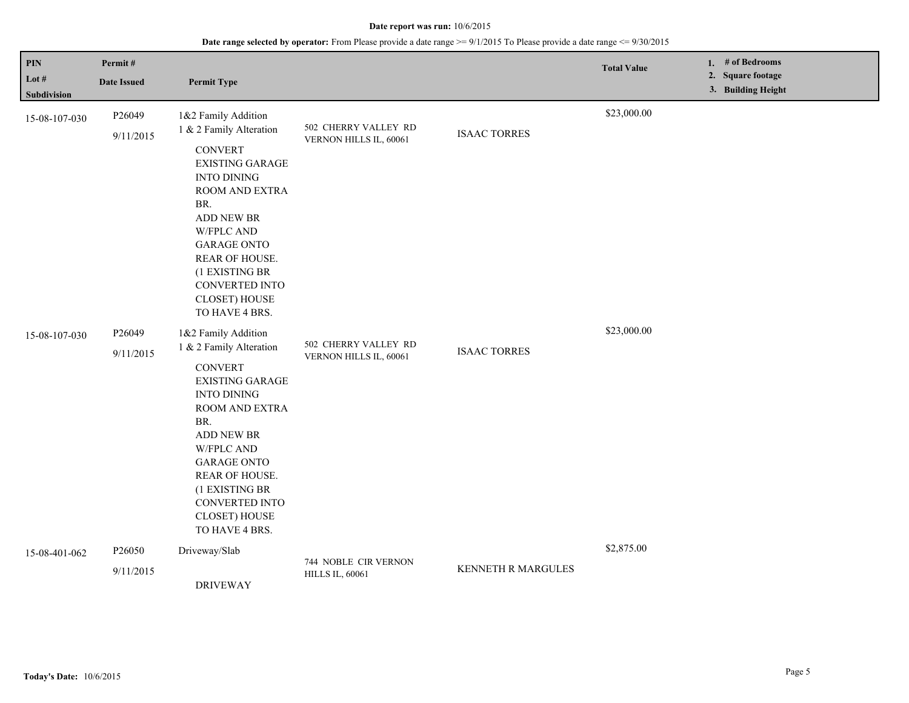| PIN<br>Lot $#$<br><b>Subdivision</b> | Permit#<br><b>Date Issued</b> | <b>Permit Type</b>                                                                                                                                                                                                                                                                                 |                                                |                     | <b>Total Value</b> | 1. # of Bedrooms<br>2. Square footage<br>3. Building Height |
|--------------------------------------|-------------------------------|----------------------------------------------------------------------------------------------------------------------------------------------------------------------------------------------------------------------------------------------------------------------------------------------------|------------------------------------------------|---------------------|--------------------|-------------------------------------------------------------|
| 15-08-107-030                        | P26049<br>9/11/2015           | 1&2 Family Addition<br>1 & 2 Family Alteration<br><b>CONVERT</b><br><b>EXISTING GARAGE</b><br><b>INTO DINING</b><br>ROOM AND EXTRA<br>BR.<br>ADD NEW BR<br><b>W/FPLC AND</b><br><b>GARAGE ONTO</b><br>REAR OF HOUSE.<br>(1 EXISTING BR<br>CONVERTED INTO<br><b>CLOSET) HOUSE</b><br>TO HAVE 4 BRS. | 502 CHERRY VALLEY RD<br>VERNON HILLS IL, 60061 | <b>ISAAC TORRES</b> | \$23,000.00        |                                                             |
| 15-08-107-030                        | P26049<br>9/11/2015           | 1&2 Family Addition<br>1 & 2 Family Alteration<br><b>CONVERT</b><br><b>EXISTING GARAGE</b><br><b>INTO DINING</b><br>ROOM AND EXTRA<br>BR.<br>ADD NEW BR<br><b>W/FPLC AND</b><br><b>GARAGE ONTO</b><br>REAR OF HOUSE.<br>(1 EXISTING BR<br>CONVERTED INTO<br><b>CLOSET) HOUSE</b><br>TO HAVE 4 BRS. | 502 CHERRY VALLEY RD<br>VERNON HILLS IL, 60061 | <b>ISAAC TORRES</b> | \$23,000.00        |                                                             |
| 15-08-401-062                        | P26050<br>9/11/2015           | Driveway/Slab<br><b>DRIVEWAY</b>                                                                                                                                                                                                                                                                   | 744 NOBLE CIR VERNON<br><b>HILLS IL, 60061</b> | KENNETH R MARGULES  | \$2,875.00         |                                                             |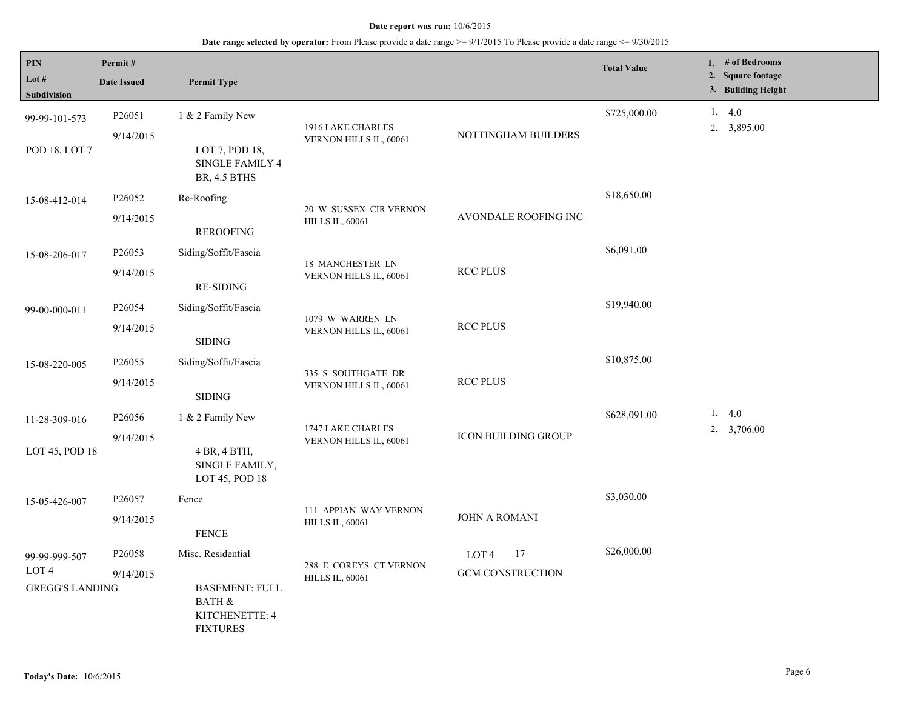| PIN<br>Lot $#$<br>Subdivision                               | Permit#<br><b>Date Issued</b>   | <b>Permit Type</b>                                                                                   |                                                  |                                        | <b>Total Value</b> | 1. $#$ of Bedrooms<br>2. Square footage<br>3. Building Height |
|-------------------------------------------------------------|---------------------------------|------------------------------------------------------------------------------------------------------|--------------------------------------------------|----------------------------------------|--------------------|---------------------------------------------------------------|
| 99-99-101-573<br>POD 18, LOT 7                              | P26051<br>9/14/2015             | 1 & 2 Family New<br>LOT 7, POD 18,<br><b>SINGLE FAMILY 4</b><br><b>BR, 4.5 BTHS</b>                  | 1916 LAKE CHARLES<br>VERNON HILLS IL, 60061      | NOTTINGHAM BUILDERS                    | \$725,000.00       | 1.4.0<br>2. 3,895.00                                          |
| 15-08-412-014                                               | P26052<br>9/14/2015             | Re-Roofing<br><b>REROOFING</b>                                                                       | 20 W SUSSEX CIR VERNON<br><b>HILLS IL, 60061</b> | AVONDALE ROOFING INC                   | \$18,650.00        |                                                               |
| 15-08-206-017                                               | P26053<br>9/14/2015             | Siding/Soffit/Fascia<br><b>RE-SIDING</b>                                                             | 18 MANCHESTER LN<br>VERNON HILLS IL, 60061       | <b>RCC PLUS</b>                        | \$6,091.00         |                                                               |
| 99-00-000-011                                               | P26054<br>9/14/2015             | Siding/Soffit/Fascia<br><b>SIDING</b>                                                                | 1079 W WARREN LN<br>VERNON HILLS IL, 60061       | <b>RCC PLUS</b>                        | \$19,940.00        |                                                               |
| 15-08-220-005                                               | P <sub>26055</sub><br>9/14/2015 | Siding/Soffit/Fascia<br><b>SIDING</b>                                                                | 335 S SOUTHGATE DR<br>VERNON HILLS IL, 60061     | <b>RCC PLUS</b>                        | \$10,875.00        |                                                               |
| 11-28-309-016<br>LOT 45, POD 18                             | P26056<br>9/14/2015             | 1 & 2 Family New<br>4 BR, 4 BTH,<br>SINGLE FAMILY,<br>LOT 45, POD 18                                 | 1747 LAKE CHARLES<br>VERNON HILLS IL, 60061      | <b>ICON BUILDING GROUP</b>             | \$628,091.00       | 1. $4.0$<br>2. $3,706.00$                                     |
| 15-05-426-007                                               | P26057<br>9/14/2015             | Fence<br><b>FENCE</b>                                                                                | 111 APPIAN WAY VERNON<br><b>HILLS IL, 60061</b>  | <b>JOHN A ROMANI</b>                   | \$3,030.00         |                                                               |
| 99-99-999-507<br>LOT <sub>4</sub><br><b>GREGG'S LANDING</b> | P26058<br>9/14/2015             | Misc. Residential<br><b>BASEMENT: FULL</b><br><b>BATH &amp;</b><br>KITCHENETTE: 4<br><b>FIXTURES</b> | 288 E COREYS CT VERNON<br><b>HILLS IL, 60061</b> | 17<br>LOT 4<br><b>GCM CONSTRUCTION</b> | \$26,000.00        |                                                               |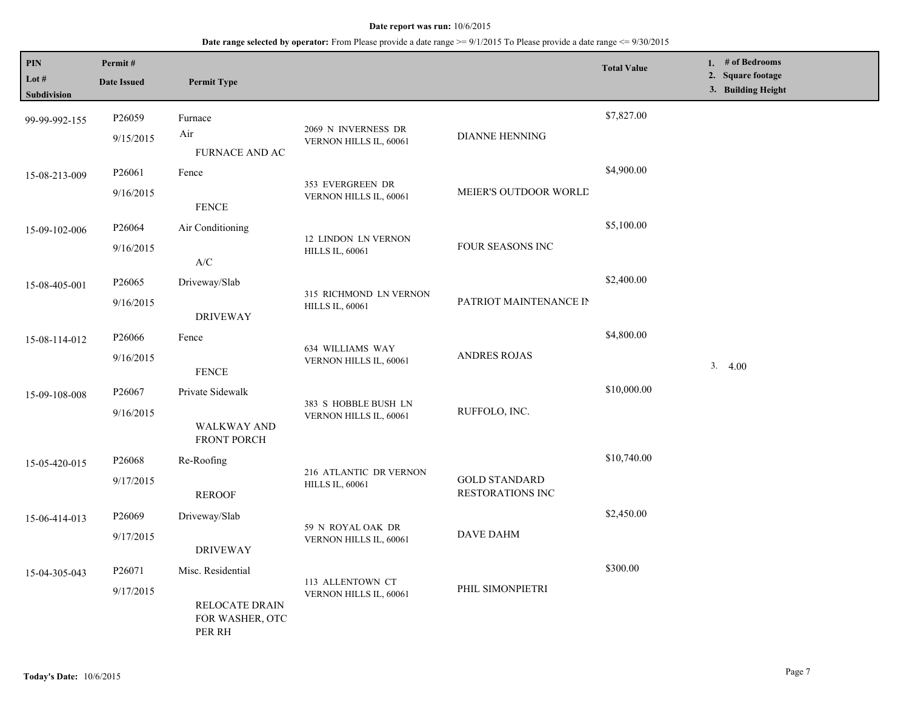| PIN<br>Lot #  | Permit#<br><b>Date Issued</b>               | <b>Permit Type</b>         |                                                |                                          | <b>Total Value</b> | 1. # of Bedrooms<br>2. Square footage |
|---------------|---------------------------------------------|----------------------------|------------------------------------------------|------------------------------------------|--------------------|---------------------------------------|
| Subdivision   |                                             |                            |                                                |                                          |                    | 3. Building Height                    |
| 99-99-992-155 | P26059                                      | Furnace                    |                                                |                                          | \$7,827.00         |                                       |
|               | 9/15/2015                                   | Air                        | 2069 N INVERNESS DR<br>VERNON HILLS IL, 60061  | DIANNE HENNING                           |                    |                                       |
|               |                                             | FURNACE AND AC             |                                                |                                          |                    |                                       |
| 15-08-213-009 | P26061                                      | Fence                      | 353 EVERGREEN DR                               |                                          | \$4,900.00         |                                       |
|               | 9/16/2015                                   | <b>FENCE</b>               | VERNON HILLS IL, 60061                         | MEIER'S OUTDOOR WORLD                    |                    |                                       |
| 15-09-102-006 | P26064                                      | Air Conditioning           |                                                |                                          | \$5,100.00         |                                       |
|               | 9/16/2015                                   |                            | 12 LINDON LN VERNON<br><b>HILLS IL, 60061</b>  | FOUR SEASONS INC                         |                    |                                       |
|               |                                             | A/C                        |                                                |                                          |                    |                                       |
| 15-08-405-001 | P26065                                      | Driveway/Slab              | 315 RICHMOND LN VERNON                         |                                          | \$2,400.00         |                                       |
|               | 9/16/2015                                   | <b>DRIVEWAY</b>            | <b>HILLS IL, 60061</b>                         | PATRIOT MAINTENANCE IN                   |                    |                                       |
| 15-08-114-012 | P26066                                      | Fence                      |                                                |                                          | \$4,800.00         |                                       |
|               | 9/16/2015                                   |                            | 634 WILLIAMS WAY                               | <b>ANDRES ROJAS</b>                      |                    |                                       |
|               |                                             | <b>FENCE</b>               | VERNON HILLS IL, 60061                         |                                          |                    | 3.<br>4.00                            |
| 15-09-108-008 | P26067                                      | Private Sidewalk           | 383 S HOBBLE BUSH LN<br>VERNON HILLS IL, 60061 | RUFFOLO, INC.                            | \$10,000.00        |                                       |
|               | 9/16/2015                                   |                            |                                                |                                          |                    |                                       |
|               |                                             | WALKWAY AND<br>FRONT PORCH |                                                |                                          |                    |                                       |
| 15-05-420-015 | P <sub>26068</sub>                          | Re-Roofing                 | 216 ATLANTIC DR VERNON                         |                                          | \$10,740.00        |                                       |
|               | 9/17/2015                                   | <b>REROOF</b>              | <b>HILLS IL, 60061</b>                         | <b>GOLD STANDARD</b><br>RESTORATIONS INC |                    |                                       |
| 15-06-414-013 | P26069                                      | Driveway/Slab              |                                                |                                          | \$2,450.00         |                                       |
|               | 9/17/2015                                   | <b>DRIVEWAY</b>            | 59 N ROYAL OAK DR<br>VERNON HILLS IL, 60061    | <b>DAVE DAHM</b>                         |                    |                                       |
| 15-04-305-043 | P26071                                      | Misc. Residential          |                                                |                                          | \$300.00           |                                       |
|               | 9/17/2015                                   |                            | 113 ALLENTOWN CT<br>VERNON HILLS IL, 60061     | PHIL SIMONPIETRI                         |                    |                                       |
|               | RELOCATE DRAIN<br>FOR WASHER, OTC<br>PER RH |                            |                                                |                                          |                    |                                       |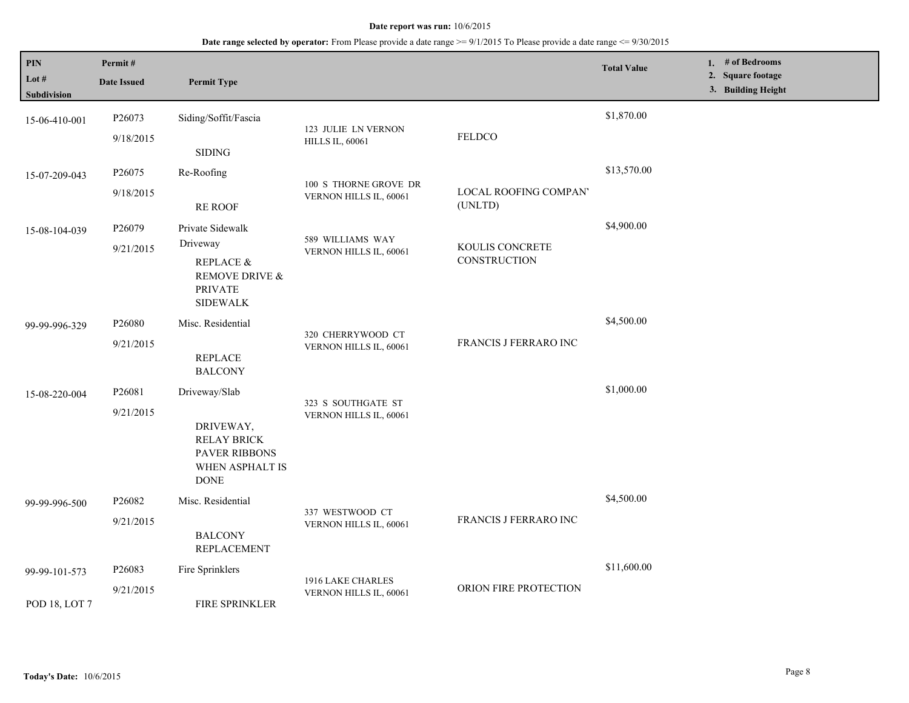| <b>PIN</b><br>Lot #<br>Subdivision | Permit#<br><b>Date Issued</b> | <b>Permit Type</b>                                                                                  |                                                 |                                  | <b>Total Value</b> | 1. # of Bedrooms<br>2. Square footage<br>3. Building Height |
|------------------------------------|-------------------------------|-----------------------------------------------------------------------------------------------------|-------------------------------------------------|----------------------------------|--------------------|-------------------------------------------------------------|
| 15-06-410-001                      | P26073<br>9/18/2015           | Siding/Soffit/Fascia<br><b>SIDING</b>                                                               | 123 JULIE LN VERNON<br><b>HILLS IL, 60061</b>   | <b>FELDCO</b>                    | \$1,870.00         |                                                             |
| 15-07-209-043                      | P26075<br>9/18/2015           | Re-Roofing<br><b>RE ROOF</b>                                                                        | 100 S THORNE GROVE DR<br>VERNON HILLS IL, 60061 | LOCAL ROOFING COMPAN'<br>(UNLTD) | \$13,570.00        |                                                             |
| 15-08-104-039                      | P26079<br>9/21/2015           | Private Sidewalk<br>Driveway<br>REPLACE &<br>REMOVE DRIVE &<br><b>PRIVATE</b><br><b>SIDEWALK</b>    | 589 WILLIAMS WAY<br>VERNON HILLS IL, 60061      | KOULIS CONCRETE<br>CONSTRUCTION  | \$4,900.00         |                                                             |
| 99-99-996-329                      | P26080<br>9/21/2015           | Misc. Residential<br><b>REPLACE</b><br><b>BALCONY</b>                                               | 320 CHERRYWOOD CT<br>VERNON HILLS IL, 60061     | FRANCIS J FERRARO INC            | \$4,500.00         |                                                             |
| 15-08-220-004                      | P26081<br>9/21/2015           | Driveway/Slab<br>DRIVEWAY,<br><b>RELAY BRICK</b><br>PAVER RIBBONS<br>WHEN ASPHALT IS<br><b>DONE</b> | 323 S SOUTHGATE ST<br>VERNON HILLS IL, 60061    |                                  | \$1,000.00         |                                                             |
| 99-99-996-500                      | P26082<br>9/21/2015           | Misc. Residential<br><b>BALCONY</b><br><b>REPLACEMENT</b>                                           | 337 WESTWOOD CT<br>VERNON HILLS IL, 60061       | FRANCIS J FERRARO INC            | \$4,500.00         |                                                             |
| 99-99-101-573<br>POD 18, LOT 7     | P26083<br>9/21/2015           | Fire Sprinklers<br>FIRE SPRINKLER                                                                   | 1916 LAKE CHARLES<br>VERNON HILLS IL, 60061     | ORION FIRE PROTECTION            | \$11,600.00        |                                                             |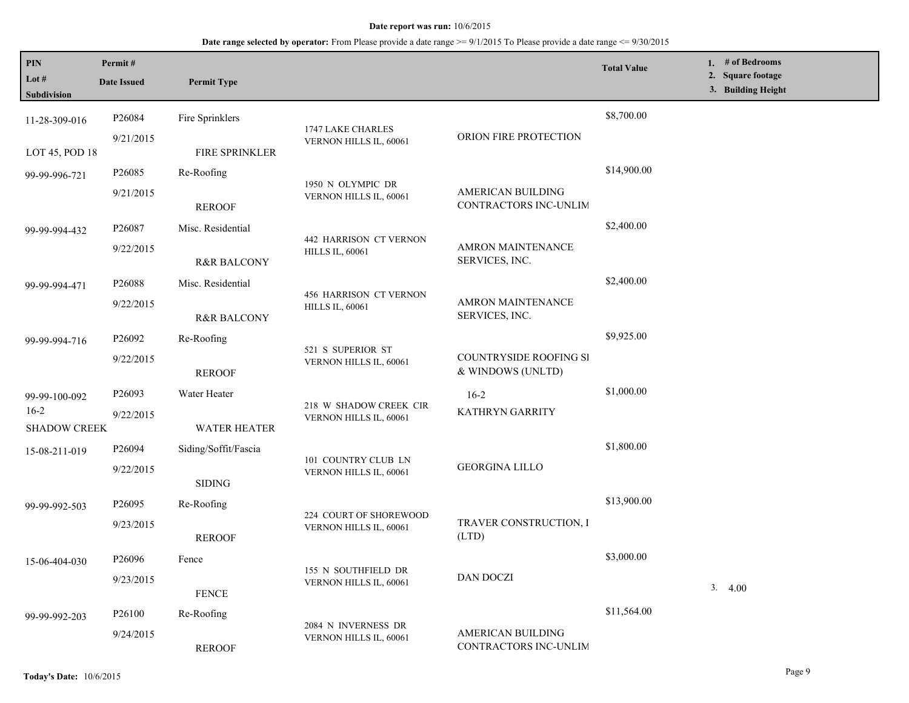| PIN<br>Lot $#$<br><b>Subdivision</b> | Permit#<br><b>Date Issued</b> | <b>Permit Type</b>                                                                                                              |                                                  |                                             | <b>Total Value</b> | 1. # of Bedrooms<br>2. Square footage<br>3. Building Height |
|--------------------------------------|-------------------------------|---------------------------------------------------------------------------------------------------------------------------------|--------------------------------------------------|---------------------------------------------|--------------------|-------------------------------------------------------------|
|                                      |                               |                                                                                                                                 |                                                  |                                             |                    |                                                             |
| 11-28-309-016                        | P26084                        | Fire Sprinklers                                                                                                                 | 1747 LAKE CHARLES                                |                                             | \$8,700.00         |                                                             |
| LOT 45, POD 18                       | 9/21/2015                     | FIRE SPRINKLER                                                                                                                  | VERNON HILLS IL, 60061                           | ORION FIRE PROTECTION                       |                    |                                                             |
| 99-99-996-721                        | P26085                        | Re-Roofing                                                                                                                      |                                                  |                                             | \$14,900.00        |                                                             |
|                                      | 9/21/2015                     | <b>REROOF</b>                                                                                                                   | 1950 N OLYMPIC DR<br>VERNON HILLS IL, 60061      | AMERICAN BUILDING<br>CONTRACTORS INC-UNLIM  |                    |                                                             |
| 99-99-994-432                        | P <sub>26087</sub>            | Misc. Residential                                                                                                               |                                                  |                                             | \$2,400.00         |                                                             |
| 9/22/2015                            |                               | <b>R&amp;R BALCONY</b>                                                                                                          | 442 HARRISON CT VERNON<br><b>HILLS IL, 60061</b> | <b>AMRON MAINTENANCE</b><br>SERVICES, INC.  |                    |                                                             |
| 99-99-994-471                        | P26088                        | Misc. Residential                                                                                                               |                                                  |                                             | \$2,400.00         |                                                             |
|                                      | 9/22/2015                     | <b>456 HARRISON CT VERNON</b><br><b>AMRON MAINTENANCE</b><br><b>HILLS IL, 60061</b><br>SERVICES, INC.<br><b>R&amp;R BALCONY</b> |                                                  |                                             |                    |                                                             |
| 99-99-994-716                        | P26092                        | Re-Roofing                                                                                                                      |                                                  |                                             | \$9,925.00         |                                                             |
|                                      | 9/22/2015                     | <b>REROOF</b>                                                                                                                   | 521 S SUPERIOR ST<br>VERNON HILLS IL, 60061      | COUNTRYSIDE ROOFING SI<br>& WINDOWS (UNLTD) |                    |                                                             |
| 99-99-100-092                        | P26093                        | Water Heater                                                                                                                    |                                                  | $16-2$                                      | \$1,000.00         |                                                             |
| $16-2$<br><b>SHADOW CREEK</b>        | 9/22/2015                     | <b>WATER HEATER</b>                                                                                                             | 218 W SHADOW CREEK CIR<br>VERNON HILLS IL, 60061 | KATHRYN GARRITY                             |                    |                                                             |
| 15-08-211-019                        | P26094                        | Siding/Soffit/Fascia                                                                                                            |                                                  |                                             | \$1,800.00         |                                                             |
|                                      | 9/22/2015                     | <b>SIDING</b>                                                                                                                   | 101 COUNTRY CLUB LN<br>VERNON HILLS IL, 60061    | <b>GEORGINA LILLO</b>                       |                    |                                                             |
| 99-99-992-503                        | P <sub>26095</sub>            | Re-Roofing                                                                                                                      |                                                  |                                             | \$13,900.00        |                                                             |
|                                      | 9/23/2015                     | <b>REROOF</b>                                                                                                                   | 224 COURT OF SHOREWOOD<br>VERNON HILLS IL, 60061 | TRAVER CONSTRUCTION, I<br>(LTD)             |                    |                                                             |
| 15-06-404-030                        | P26096                        | Fence                                                                                                                           |                                                  |                                             | \$3,000.00         |                                                             |
|                                      | 9/23/2015                     | <b>FENCE</b>                                                                                                                    | 155 N SOUTHFIELD DR<br>VERNON HILLS IL, 60061    | DAN DOCZI                                   |                    | 3.4.00                                                      |
| 99-99-992-203                        | P26100                        | Re-Roofing                                                                                                                      |                                                  |                                             | \$11,564.00        |                                                             |
|                                      | 9/24/2015                     | <b>REROOF</b>                                                                                                                   | 2084 N INVERNESS DR<br>VERNON HILLS IL, 60061    | AMERICAN BUILDING<br>CONTRACTORS INC-UNLIM  |                    |                                                             |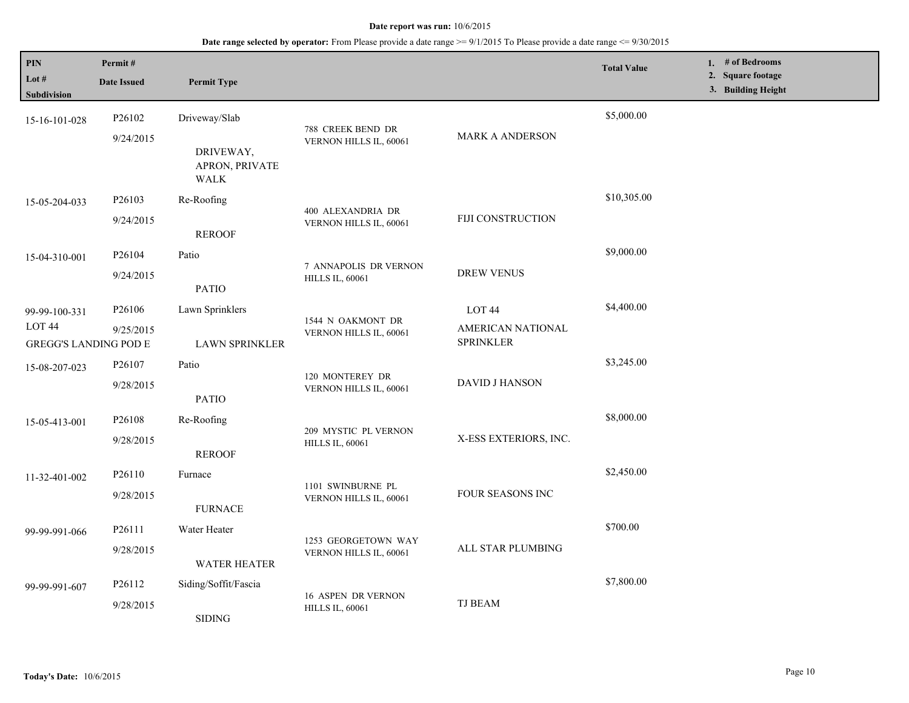## **Date range selected by operator:** From Please provide a date range >= 9/1/2015 To Please provide a date range <= 9/30/2015

| PIN<br>Lot #<br><b>Subdivision</b>                                 | Permit#<br><b>Date Issued</b>   | <b>Permit Type</b>                                   |                                                 |                                                            | <b>Total Value</b> | 1. # of Bedrooms<br>2. Square footage<br>3. Building Height |
|--------------------------------------------------------------------|---------------------------------|------------------------------------------------------|-------------------------------------------------|------------------------------------------------------------|--------------------|-------------------------------------------------------------|
| 15-16-101-028                                                      | P26102<br>9/24/2015             | Driveway/Slab<br>DRIVEWAY,<br>APRON, PRIVATE<br>WALK | 788 CREEK BEND DR<br>VERNON HILLS IL, 60061     | <b>MARK A ANDERSON</b>                                     | \$5,000.00         |                                                             |
| 15-05-204-033                                                      | P26103<br>9/24/2015             | Re-Roofing<br><b>REROOF</b>                          | 400 ALEXANDRIA DR<br>VERNON HILLS IL, 60061     | FIJI CONSTRUCTION                                          | \$10,305.00        |                                                             |
| 15-04-310-001                                                      | P26104<br>9/24/2015             | Patio<br><b>PATIO</b>                                | 7 ANNAPOLIS DR VERNON<br><b>HILLS IL, 60061</b> | <b>DREW VENUS</b>                                          | \$9,000.00         |                                                             |
| 99-99-100-331<br>LOT <sub>44</sub><br><b>GREGG'S LANDING POD E</b> | P <sub>26106</sub><br>9/25/2015 | Lawn Sprinklers<br><b>LAWN SPRINKLER</b>             | 1544 N OAKMONT DR<br>VERNON HILLS IL, 60061     | LOT <sub>44</sub><br>AMERICAN NATIONAL<br><b>SPRINKLER</b> | \$4,400.00         |                                                             |
| 15-08-207-023                                                      | P <sub>26107</sub><br>9/28/2015 | Patio<br><b>PATIO</b>                                | 120 MONTEREY DR<br>VERNON HILLS IL, 60061       | <b>DAVID J HANSON</b>                                      | \$3,245.00         |                                                             |
| 15-05-413-001                                                      | P26108<br>9/28/2015             | Re-Roofing<br><b>REROOF</b>                          | 209 MYSTIC PL VERNON<br><b>HILLS IL, 60061</b>  | X-ESS EXTERIORS, INC.                                      | \$8,000.00         |                                                             |
| 11-32-401-002                                                      | P26110<br>9/28/2015             | Furnace<br><b>FURNACE</b>                            | 1101 SWINBURNE PL<br>VERNON HILLS IL, 60061     | FOUR SEASONS INC                                           | \$2,450.00         |                                                             |
| 99-99-991-066                                                      | P <sub>26111</sub><br>9/28/2015 | Water Heater<br><b>WATER HEATER</b>                  | 1253 GEORGETOWN WAY<br>VERNON HILLS IL, 60061   | ALL STAR PLUMBING                                          | \$700.00           |                                                             |
| 99-99-991-607                                                      | P26112<br>9/28/2015             | Siding/Soffit/Fascia<br><b>SIDING</b>                | 16 ASPEN DR VERNON<br><b>HILLS IL, 60061</b>    | <b>TJ BEAM</b>                                             | \$7,800.00         |                                                             |

L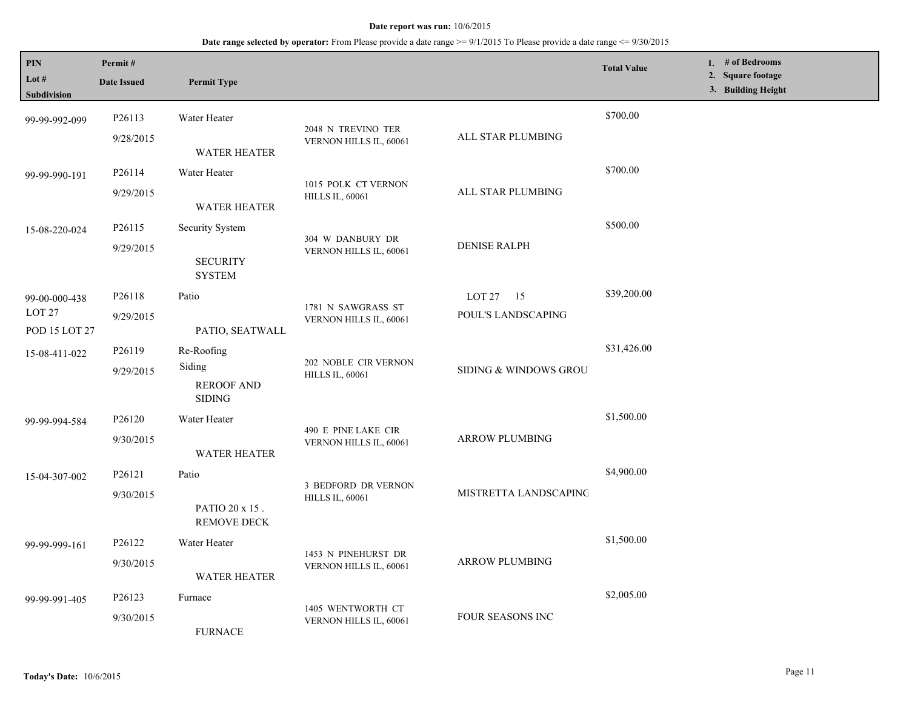| PIN<br>Lot #<br>Subdivision                | Permit#<br><b>Date Issued</b>   | <b>Permit Type</b>                                         |                                                |                                     | <b>Total Value</b> | 1. # of Bedrooms<br>2. Square footage<br>3. Building Height |
|--------------------------------------------|---------------------------------|------------------------------------------------------------|------------------------------------------------|-------------------------------------|--------------------|-------------------------------------------------------------|
| 99-99-992-099                              | P26113<br>9/28/2015             | Water Heater<br><b>WATER HEATER</b>                        | 2048 N TREVINO TER<br>VERNON HILLS IL, 60061   | ALL STAR PLUMBING                   | \$700.00           |                                                             |
| 99-99-990-191                              | P26114<br>9/29/2015             | Water Heater<br><b>WATER HEATER</b>                        | 1015 POLK CT VERNON<br><b>HILLS IL, 60061</b>  | ALL STAR PLUMBING                   | \$700.00           |                                                             |
| 15-08-220-024                              | P26115<br>9/29/2015             | Security System<br><b>SECURITY</b><br><b>SYSTEM</b>        | 304 W DANBURY DR<br>VERNON HILLS IL, 60061     | <b>DENISE RALPH</b>                 | \$500.00           |                                                             |
| 99-00-000-438<br>LOT $27$<br>POD 15 LOT 27 | P26118<br>9/29/2015             | Patio<br>PATIO, SEATWALL                                   | 1781 N SAWGRASS ST<br>VERNON HILLS IL, 60061   | LOT $27 \t15$<br>POUL'S LANDSCAPING | \$39,200.00        |                                                             |
| 15-08-411-022                              | P26119<br>9/29/2015             | Re-Roofing<br>Siding<br><b>REROOF AND</b><br><b>SIDING</b> | 202 NOBLE CIR VERNON<br><b>HILLS IL, 60061</b> | SIDING & WINDOWS GROU               | \$31,426.00        |                                                             |
| 99-99-994-584                              | P26120<br>9/30/2015             | Water Heater<br><b>WATER HEATER</b>                        | 490 E PINE LAKE CIR<br>VERNON HILLS IL, 60061  | <b>ARROW PLUMBING</b>               | \$1,500.00         |                                                             |
| 15-04-307-002                              | P26121<br>9/30/2015             | Patio<br>PATIO 20 x 15.<br><b>REMOVE DECK</b>              | 3 BEDFORD DR VERNON<br><b>HILLS IL, 60061</b>  | MISTRETTA LANDSCAPING               | \$4,900.00         |                                                             |
| 99-99-999-161                              | P26122<br>9/30/2015             | Water Heater<br><b>WATER HEATER</b>                        | 1453 N PINEHURST DR<br>VERNON HILLS IL, 60061  | <b>ARROW PLUMBING</b>               | \$1,500.00         |                                                             |
| 99-99-991-405                              | P <sub>26123</sub><br>9/30/2015 | Furnace<br><b>FURNACE</b>                                  | 1405 WENTWORTH CT<br>VERNON HILLS IL, 60061    | <b>FOUR SEASONS INC</b>             | \$2,005.00         |                                                             |